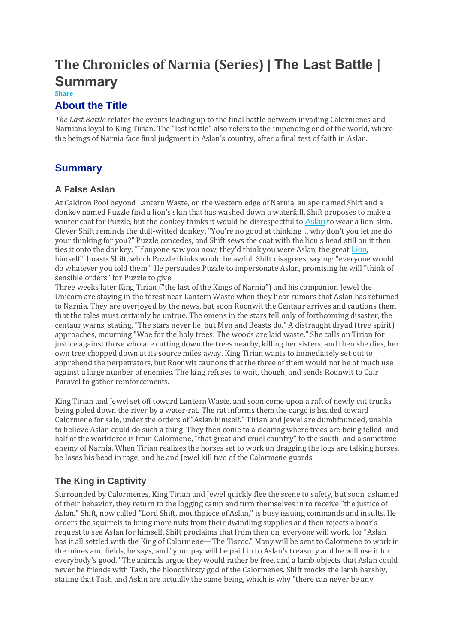# **The Chronicles of Narnia (Series) | The Last Battle | Summary**

#### **Share**

#### **About the Title**

*The Last Battle* relates the events leading up to the final battle between invading Calormenes and Narnians loyal to King Tirian. The "last battle" also refers to the impending end of the world, where the beings of Narnia face final judgment in Aslan's country, after a final test of faith in Aslan.

## **Summary**

#### **A False Aslan**

At Caldron Pool beyond Lantern Waste, on the western edge of Narnia, an ape named Shift and a donkey named Puzzle find a lion's skin that has washed down a waterfall. Shift proposes to make a winter coat for Puzzle, but the donkey thinks it would be disrespectful to [Aslan](https://www.coursehero.com/lit/The-Chronicles-of-Narnia-Series/character-analysis/#Aslan) to wear a lion-skin. Clever Shift reminds the dull-witted donkey, "You're no good at thinking ... why don't you let me do your thinking for you?" Puzzle concedes, and Shift sews the coat with the lion's head still on it then ties it onto the donkey. "If anyone saw you now, they'd think you were Aslan, the great [Lion](https://www.coursehero.com/lit/The-Chronicles-of-Narnia-Series/symbols/#Lion), himself," boasts Shift, which Puzzle thinks would be awful. Shift disagrees, saying: "everyone would do whatever you told them." He persuades Puzzle to impersonate Aslan, promising he will "think of sensible orders" for Puzzle to give.

Three weeks later King Tirian ("the last of the Kings of Narnia") and his companion Jewel the Unicorn are staying in the forest near Lantern Waste when they hear rumors that Aslan has returned to Narnia. They are overjoyed by the news, but soon Roonwit the Centaur arrives and cautions them that the tales must certainly be untrue. The omens in the stars tell only of forthcoming disaster, the centaur warns, stating, "The stars never lie, but Men and Beasts do." A distraught dryad (tree spirit) approaches, mourning "Woe for the holy trees! The woods are laid waste." She calls on Tirian for justice against those who are cutting down the trees nearby, killing her sisters, and then she dies, her own tree chopped down at its source miles away. King Tirian wants to immediately set out to apprehend the perpetrators, but Roonwit cautions that the three of them would not be of much use against a large number of enemies. The king refuses to wait, though, and sends Roonwit to Cair Paravel to gather reinforcements.

King Tirian and Jewel set off toward Lantern Waste, and soon come upon a raft of newly cut trunks being poled down the river by a water-rat. The rat informs them the cargo is headed toward Calormene for sale, under the orders of "Aslan himself." Tirian and Jewel are dumbfounded, unable to believe Aslan could do such a thing. They then come to a clearing where trees are being felled, and half of the workforce is from Calormene, "that great and cruel country" to the south, and a sometime enemy of Narnia. When Tirian realizes the horses set to work on dragging the logs are talking horses, he loses his head in rage, and he and Jewel kill two of the Calormene guards.

## **The King in Captivity**

Surrounded by Calormenes, King Tirian and Jewel quickly flee the scene to safety, but soon, ashamed of their behavior, they return to the logging camp and turn themselves in to receive "the justice of Aslan." Shift, now called "Lord Shift, mouthpiece of Aslan," is busy issuing commands and insults. He orders the squirrels to bring more nuts from their dwindling supplies and then rejects a boar's request to see Aslan for himself. Shift proclaims that from then on, everyone will work, for "Aslan has it all settled with the King of Calormene—The Tisroc." Many will be sent to Calormene to work in the mines and fields, he says, and "your pay will be paid in to Aslan's treasury and he will use it for everybody's good." The animals argue they would rather be free, and a lamb objects that Aslan could never be friends with Tash, the bloodthirsty god of the Calormenes. Shift mocks the lamb harshly, stating that Tash and Aslan are actually the same being, which is why "there can never be any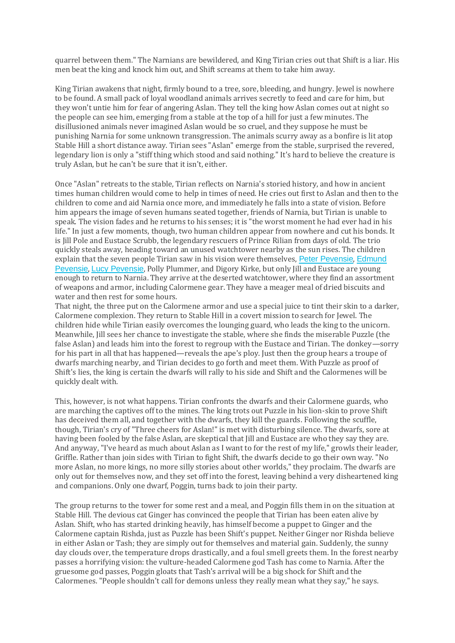quarrel between them." The Narnians are bewildered, and King Tirian cries out that Shift is a liar. His men beat the king and knock him out, and Shift screams at them to take him away.

King Tirian awakens that night, firmly bound to a tree, sore, bleeding, and hungry. Jewel is nowhere to be found. A small pack of loyal woodland animals arrives secretly to feed and care for him, but they won't untie him for fear of angering Aslan. They tell the king how Aslan comes out at night so the people can see him, emerging from a stable at the top of a hill for just a few minutes. The disillusioned animals never imagined Aslan would be so cruel, and they suppose he must be punishing Narnia for some unknown transgression. The animals scurry away as a bonfire is lit atop Stable Hill a short distance away. Tirian sees "Aslan" emerge from the stable, surprised the revered, legendary lion is only a "stiff thing which stood and said nothing." It's hard to believe the creature is truly Aslan, but he can't be sure that it isn't, either.

Once "Aslan" retreats to the stable, Tirian reflects on Narnia's storied history, and how in ancient times human children would come to help in times of need. He cries out first to Aslan and then to the children to come and aid Narnia once more, and immediately he falls into a state of vision. Before him appears the image of seven humans seated together, friends of Narnia, but Tirian is unable to speak. The vision fades and he returns to his senses; it is "the worst moment he had ever had in his life." In just a few moments, though, two human children appear from nowhere and cut his bonds. It is Jill Pole and Eustace Scrubb, the legendary rescuers of Prince Rilian from days of old. The trio quickly steals away, heading toward an unused watchtower nearby as the sun rises. The children explain that the seven people Tirian saw in his vision were themselves, Peter [Pevensie](https://www.coursehero.com/lit/The-Chronicles-of-Narnia-Series/character-analysis/#Peter_Pevensie), [Edmund](https://www.coursehero.com/lit/The-Chronicles-of-Narnia-Series/character-analysis/#Edmund_Pevensie) [Pevensie](https://www.coursehero.com/lit/The-Chronicles-of-Narnia-Series/character-analysis/#Edmund_Pevensie), Lucy [Pevensie](https://www.coursehero.com/lit/The-Chronicles-of-Narnia-Series/character-analysis/#Lucy_Pevensie), Polly Plummer, and Digory Kirke, but only Jill and Eustace are young enough to return to Narnia. They arrive at the deserted watchtower, where they find an assortment of weapons and armor, including Calormene gear. They have a meager meal of dried biscuits and water and then rest for some hours.

That night, the three put on the Calormene armor and use a special juice to tint their skin to a darker, Calormene complexion. They return to Stable Hill in a covert mission to search for Jewel. The children hide while Tirian easily overcomes the lounging guard, who leads the king to the unicorn. Meanwhile, Jill sees her chance to investigate the stable, where she finds the miserable Puzzle (the false Aslan) and leads him into the forest to regroup with the Eustace and Tirian. The donkey—sorry for his part in all that has happened—reveals the ape's ploy. Just then the group hears a troupe of dwarfs marching nearby, and Tirian decides to go forth and meet them. With Puzzle as proof of Shift's lies, the king is certain the dwarfs will rally to his side and Shift and the Calormenes will be quickly dealt with.

This, however, is not what happens. Tirian confronts the dwarfs and their Calormene guards, who are marching the captives off to the mines. The king trots out Puzzle in his lion-skin to prove Shift has deceived them all, and together with the dwarfs, they kill the guards. Following the scuffle, though, Tirian's cry of "Three cheers for Aslan!" is met with disturbing silence. The dwarfs, sore at having been fooled by the false Aslan, are skeptical that Jill and Eustace are who they say they are. And anyway, "I've heard as much about Aslan as I want to for the rest of my life," growls their leader, Griffle. Rather than join sides with Tirian to fight Shift, the dwarfs decide to go their own way. "No more Aslan, no more kings, no more silly stories about other worlds," they proclaim. The dwarfs are only out for themselves now, and they set off into the forest, leaving behind a very disheartened king and companions. Only one dwarf, Poggin, turns back to join their party.

The group returns to the tower for some rest and a meal, and Poggin fills them in on the situation at Stable Hill. The devious cat Ginger has convinced the people that Tirian has been eaten alive by Aslan. Shift, who has started drinking heavily, has himself become a puppet to Ginger and the Calormene captain Rishda, just as Puzzle has been Shift's puppet. Neither Ginger nor Rishda believe in either Aslan or Tash; they are simply out for themselves and material gain. Suddenly, the sunny day clouds over, the temperature drops drastically, and a foul smell greets them. In the forest nearby passes a horrifying vision: the vulture-headed Calormene god Tash has come to Narnia. After the gruesome god passes, Poggin gloats that Tash's arrival will be a big shock for Shift and the Calormenes. "People shouldn't call for demons unless they really mean what they say," he says.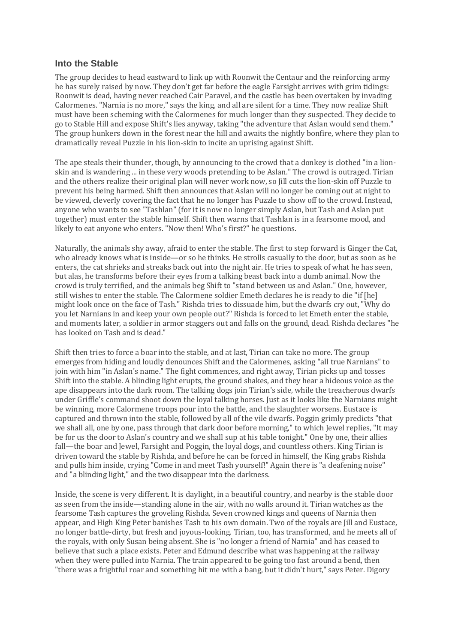#### **Into the Stable**

The group decides to head eastward to link up with Roonwit the Centaur and the reinforcing army he has surely raised by now. They don't get far before the eagle Farsight arrives with grim tidings: Roonwit is dead, having never reached Cair Paravel, and the castle has been overtaken by invading Calormenes. "Narnia is no more," says the king, and all are silent for a time. They now realize Shift must have been scheming with the Calormenes for much longer than they suspected. They decide to go to Stable Hill and expose Shift's lies anyway, taking "the adventure that Aslan would send them." The group hunkers down in the forest near the hill and awaits the nightly bonfire, where they plan to dramatically reveal Puzzle in his lion-skin to incite an uprising against Shift.

The ape steals their thunder, though, by announcing to the crowd that a donkey is clothed "in a lionskin and is wandering ... in these very woods pretending to be Aslan." The crowd is outraged. Tirian and the others realize their original plan will never work now, so Jill cuts the lion-skin off Puzzle to prevent his being harmed. Shift then announces that Aslan will no longer be coming out at night to be viewed, cleverly covering the fact that he no longer has Puzzle to show off to the crowd. Instead, anyone who wants to see "Tashlan" (for it is now no longer simply Aslan, but Tash and Aslan put together) must enter the stable himself. Shift then warns that Tashlan is in a fearsome mood, and likely to eat anyone who enters. "Now then! Who's first?" he questions.

Naturally, the animals shy away, afraid to enter the stable. The first to step forward is Ginger the Cat, who already knows what is inside—or so he thinks. He strolls casually to the door, but as soon as he enters, the cat shrieks and streaks back out into the night air. He tries to speak of what he has seen, but alas, he transforms before their eyes from a talking beast back into a dumb animal. Now the crowd is truly terrified, and the animals beg Shift to "stand between us and Aslan." One, however, still wishes to enter the stable. The Calormene soldier Emeth declares he is ready to die "if [he] might look once on the face of Tash." Rishda tries to dissuade him, but the dwarfs cry out, "Why do you let Narnians in and keep your own people out?" Rishda is forced to let Emeth enter the stable, and moments later, a soldier in armor staggers out and falls on the ground, dead. Rishda declares "he has looked on Tash and is dead."

Shift then tries to force a boar into the stable, and at last, Tirian can take no more. The group emerges from hiding and loudly denounces Shift and the Calormenes, asking "all true Narnians" to join with him "in Aslan's name." The fight commences, and right away, Tirian picks up and tosses Shift into the stable. A blinding light erupts, the ground shakes, and they hear a hideous voice as the ape disappears into the dark room. The talking dogs join Tirian's side, while the treacherous dwarfs under Griffle's command shoot down the loyal talking horses. Just as it looks like the Narnians might be winning, more Calormene troops pour into the battle, and the slaughter worsens. Eustace is captured and thrown into the stable, followed by all of the vile dwarfs. Poggin grimly predicts "that we shall all, one by one, pass through that dark door before morning," to which Jewel replies, "It may be for us the door to Aslan's country and we shall sup at his table tonight." One by one, their allies fall—the boar and Jewel, Farsight and Poggin, the loyal dogs, and countless others. King Tirian is driven toward the stable by Rishda, and before he can be forced in himself, the King grabs Rishda and pulls him inside, crying "Come in and meet Tash yourself!" Again there is "a deafening noise" and "a blinding light," and the two disappear into the darkness.

Inside, the scene is very different. It is daylight, in a beautiful country, and nearby is the stable door as seen from the inside—standing alone in the air, with no walls around it. Tirian watches as the fearsome Tash captures the groveling Rishda. Seven crowned kings and queens of Narnia then appear, and High King Peter banishes Tash to his own domain. Two of the royals are Jill and Eustace, no longer battle-dirty, but fresh and joyous-looking. Tirian, too, has transformed, and he meets all of the royals, with only Susan being absent. She is "no longer a friend of Narnia" and has ceased to believe that such a place exists. Peter and Edmund describe what was happening at the railway when they were pulled into Narnia. The train appeared to be going too fast around a bend, then "there was a frightful roar and something hit me with a bang, but it didn't hurt," says Peter. Digory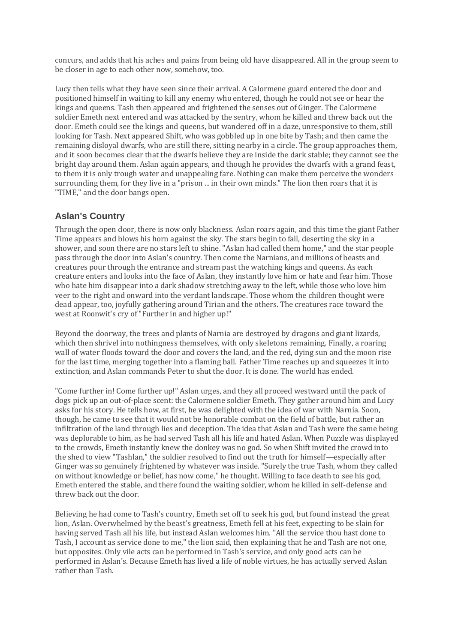concurs, and adds that his aches and pains from being old have disappeared. All in the group seem to be closer in age to each other now, somehow, too.

Lucy then tells what they have seen since their arrival. A Calormene guard entered the door and positioned himself in waiting to kill any enemy who entered, though he could not see or hear the kings and queens. Tash then appeared and frightened the senses out of Ginger. The Calormene soldier Emeth next entered and was attacked by the sentry, whom he killed and threw back out the door. Emeth could see the kings and queens, but wandered off in a daze, unresponsive to them, still looking for Tash. Next appeared Shift, who was gobbled up in one bite by Tash; and then came the remaining disloyal dwarfs, who are still there, sitting nearby in a circle. The group approaches them, and it soon becomes clear that the dwarfs believe they are inside the dark stable; they cannot see the bright day around them. Aslan again appears, and though he provides the dwarfs with a grand feast, to them it is only trough water and unappealing fare. Nothing can make them perceive the wonders surrounding them, for they live in a "prison ... in their own minds." The lion then roars that it is "TIME," and the door bangs open.

### **Aslan's Country**

Through the open door, there is now only blackness. Aslan roars again, and this time the giant Father Time appears and blows his horn against the sky. The stars begin to fall, deserting the sky in a shower, and soon there are no stars left to shine. "Aslan had called them home," and the star people pass through the door into Aslan's country. Then come the Narnians, and millions of beasts and creatures pour through the entrance and stream past the watching kings and queens. As each creature enters and looks into the face of Aslan, they instantly love him or hate and fear him. Those who hate him disappear into a dark shadow stretching away to the left, while those who love him veer to the right and onward into the verdant landscape. Those whom the children thought were dead appear, too, joyfully gathering around Tirian and the others. The creatures race toward the west at Roonwit's cry of "Further in and higher up!"

Beyond the doorway, the trees and plants of Narnia are destroyed by dragons and giant lizards, which then shrivel into nothingness themselves, with only skeletons remaining. Finally, a roaring wall of water floods toward the door and covers the land, and the red, dying sun and the moon rise for the last time, merging together into a flaming ball. Father Time reaches up and squeezes it into extinction, and Aslan commands Peter to shut the door. It is done. The world has ended.

"Come further in! Come further up!" Aslan urges, and they all proceed westward until the pack of dogs pick up an out-of-place scent: the Calormene soldier Emeth. They gather around him and Lucy asks for his story. He tells how, at first, he was delighted with the idea of war with Narnia. Soon, though, he came to see that it would not be honorable combat on the field of battle, but rather an infiltration of the land through lies and deception. The idea that Aslan and Tash were the same being was deplorable to him, as he had served Tash all his life and hated Aslan. When Puzzle was displayed to the crowds, Emeth instantly knew the donkey was no god. So when Shift invited the crowd into the shed to view "Tashlan," the soldier resolved to find out the truth for himself—especially after Ginger was so genuinely frightened by whatever was inside. "Surely the true Tash, whom they called on without knowledge or belief, has now come," he thought. Willing to face death to see his god, Emeth entered the stable, and there found the waiting soldier, whom he killed in self-defense and threw back out the door.

Believing he had come to Tash's country, Emeth set off to seek his god, but found instead the great lion, Aslan. Overwhelmed by the beast's greatness, Emeth fell at his feet, expecting to be slain for having served Tash all his life, but instead Aslan welcomes him. "All the service thou hast done to Tash, I account as service done to me," the lion said, then explaining that he and Tash are not one, but opposites. Only vile acts can be performed in Tash's service, and only good acts can be performed in Aslan's. Because Emeth has lived a life of noble virtues, he has actually served Aslan rather than Tash.